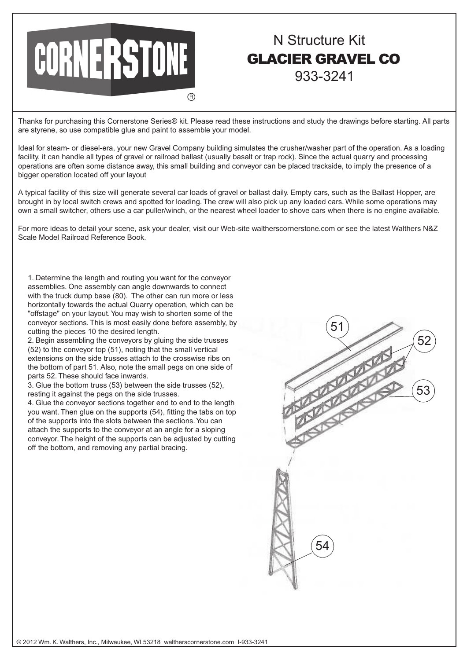

## N Structure Kit GLACIER GRAVEL CO 933-3241

Thanks for purchasing this Cornerstone Series® kit. Please read these instructions and study the drawings before starting. All parts are styrene, so use compatible glue and paint to assemble your model.

Ideal for steam- or diesel-era, your new Gravel Company building simulates the crusher/washer part of the operation. As a loading facility, it can handle all types of gravel or railroad ballast (usually basalt or trap rock). Since the actual quarry and processing operations are often some distance away, this small building and conveyor can be placed trackside, to imply the presence of a bigger operation located off your layout

A typical facility of this size will generate several car loads of gravel or ballast daily. Empty cars, such as the Ballast Hopper, are brought in by local switch crews and spotted for loading. The crew will also pick up any loaded cars. While some operations may own a small switcher, others use a car puller/winch, or the nearest wheel loader to shove cars when there is no engine available.

For more ideas to detail your scene, ask your dealer, visit our Web-site waltherscornerstone.com or see the latest Walthers N&Z Scale Model Railroad Reference Book.

1. Determine the length and routing you want for the conveyor assemblies. One assembly can angle downwards to connect with the truck dump base (80). The other can run more or less horizontally towards the actual Quarry operation, which can be "offstage" on your layout. You may wish to shorten some of the conveyor sections. This is most easily done before assembly, by cutting the pieces 10 the desired length.

2. Begin assembling the conveyors by gluing the side trusses (52) to the conveyor top (51), noting that the small vertical extensions on the side trusses attach to the crosswise ribs on the bottom of part 51. Also, note the small pegs on one side of parts 52. These should face inwards.

3. Glue the bottom truss (53) between the side trusses (52), resting it against the pegs on the side trusses.

4. Glue the conveyor sections together end to end to the length you want. Then glue on the supports (54), fitting the tabs on top of the supports into the slots between the sections. You can attach the supports to the conveyor at an angle for a sloping conveyor. The height of the supports can be adjusted by cutting off the bottom, and removing any partial bracing.

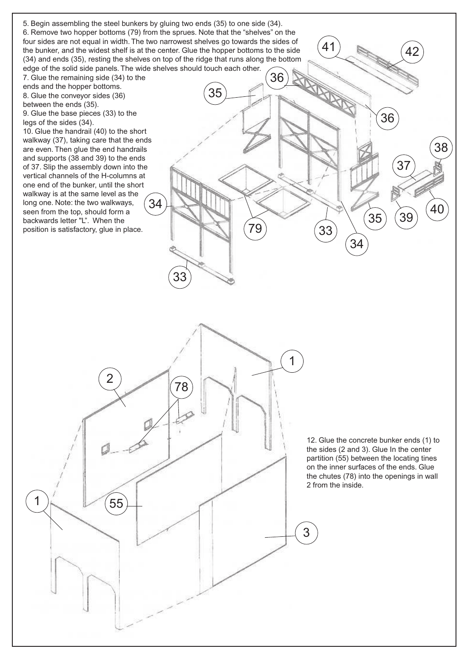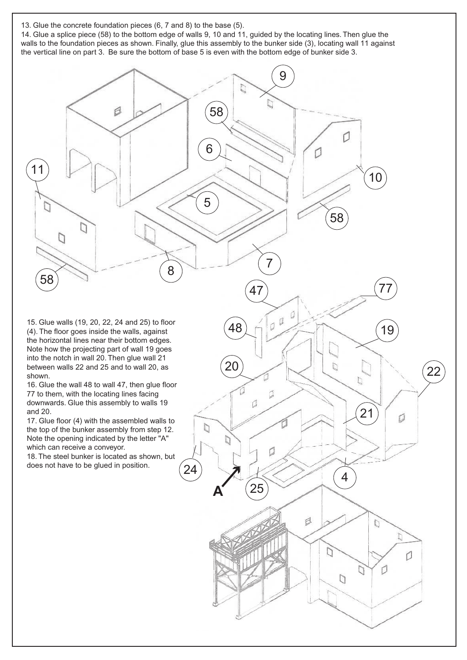